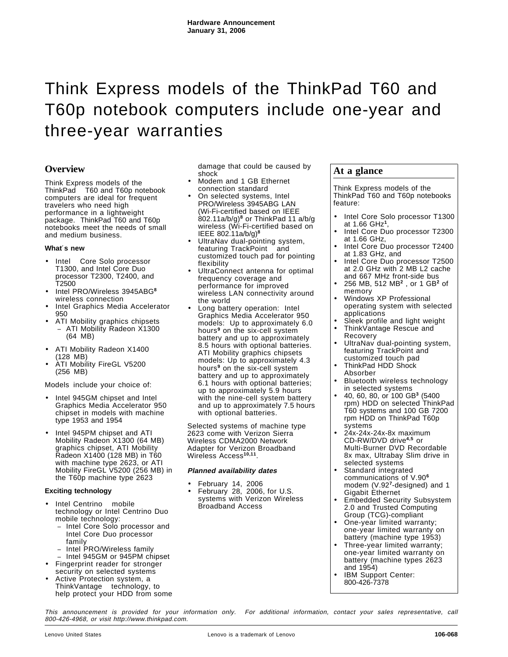# Think Express models of the ThinkPad T60 and T60p notebook computers include one-year and three-year warranties

# **Overview**

Think Express models of the ThinkPad<sup>®</sup> T60 and T60p notebook computers are ideal for frequent travelers who need high performance in a lightweight package. ThinkPad T60 and T60p notebooks meet the needs of small and medium business.

#### **What**′**s new**

- Intel<sup>®</sup> Core Solo processor T1300, and Intel Core Duo processor T2300, T2400, and T2500
- Intel PRO/Wireless 3945ABG**<sup>8</sup>** wireless connection
- Intel Graphics Media Accelerator 950
- ATI Mobility graphics chipsets − ATI Mobility Radeon X1300 (64 MB)
- ATI Mobility Radeon X1400 (128 MB)
- ATI Mobility FireGL V5200 (256 MB)

Models include your choice of:

- Intel 945GM chipset and Intel Graphics Media Accelerator 950 chipset in models with machine type 1953 and 1954
- Intel 945PM chipset and ATI Mobility Radeon X1300 (64 MB) graphics chipset, ATI Mobility Radeon X1400 (128 MB) in T60 with machine type 2623, or ATI Mobility FireGL V5200 (256 MB) in the T60p machine type 2623

# **Exciting technology**

- Intel Centrino<sup>®</sup> mobile technology or Intel Centrino Duo mobile technology:
	- − Intel Core Solo processor and Intel Core Duo processor family
	- − Intel PRO/Wireless family
- − Intel 945GM or 945PM chipset
- Fingerprint reader for stronger security on selected systems
- Active Protection system, a ThinkVantage<sup>™</sup> technology, to help protect your HDD from some

damage that could be caused by shock

- Modem and 1 GB Ethernet connection standard
- On selected systems, Intel PRO/Wireless 3945ABG LAN (Wi-Fi-certified based on IEEE 802.11a/b/g)**<sup>8</sup>** or ThinkPad 11 a/b/g wireless (Wi-Fi-certified based on IEEE 802.11a/b/g)**<sup>8</sup>**
- UltraNav dual-pointing system, featuring TrackPoint<sup>®</sup> and customized touch pad for pointing flexibility
- UltraConnect antenna for optimal frequency coverage and performance for improved wireless LAN connectivity around the world
- Long battery operation: Intel Graphics Media Accelerator 950 models: Up to approximately 6.0 hours**<sup>9</sup>** on the six-cell system battery and up to approximately 8.5 hours with optional batteries. ATI Mobility graphics chipsets models: Up to approximately 4.3 hours**<sup>9</sup>** on the six-cell system battery and up to approximately 6.1 hours with optional batteries; up to approximately 5.9 hours with the nine-cell system battery and up to approximately 7.5 hours with optional batteries.

Selected systems of machine type 2623 come with Verizon Sierra Wireless CDMA2000 Network Adapter for Verizon Broadband Wireless Access**10,11**.

# **Planned availability dates**

- February 14, 2006
- February 28, 2006, for U.S. systems with Verizon Wireless Broadband Access

# **At a glance**

Think Express models of the ThinkPad T60 and T60p notebooks feature:

- Intel Core Solo processor T1300 at 1.66 GHz**<sup>1</sup>**,
- Intel Core Duo processor T2300 at 1.66 GHz,
- Intel Core Duo processor T2400 at 1.83 GHz, and
- Intel Core Duo processor T2500 at 2.0 GHz with 2 MB L2 cache
- and 667 MHz front-side bus • 256 MB, 512 MB**<sup>2</sup>** , or 1 GB**<sup>2</sup>** of memory
- Windows XP Professional operating system with selected applications
- Sleek profile and light weight
- ThinkVantage Rescue and Recovery
- UltraNav dual-pointing system, featuring TrackPoint and
- customized touch pad • ThinkPad HDD Shock Absorber
	- Bluetooth wireless technology
- in selected systems • 40, 60, 80, or 100 GB**<sup>3</sup>** (5400
- rpm) HDD on selected ThinkPad T60 systems and 100 GB 7200 rpm HDD on ThinkPad T60p systems
- 24x-24x-24x-8x maximum CD-RW/DVD drive**4,5** or Multi-Burner DVD Recordable 8x max, Ultrabay Slim drive in selected systems
- Standard integrated communications of V.90**<sup>6</sup>** modem (V.92**<sup>7</sup>**-designed) and 1 Gigabit Ethernet
- Embedded Security Subsystem 2.0 and Trusted Computing Group (TCG)-compliant
- One-year limited warranty; one-year limited warranty on battery (machine type 1953)
- Three-year limited warranty; one-year limited warranty on battery (machine types 2623 and  $1954$ )
- IBM Support Center: 800-426-7378

This announcement is provided for your information only. For additional information, contact your sales representative, call 800-426-4968, or visit http://www.thinkpad.com.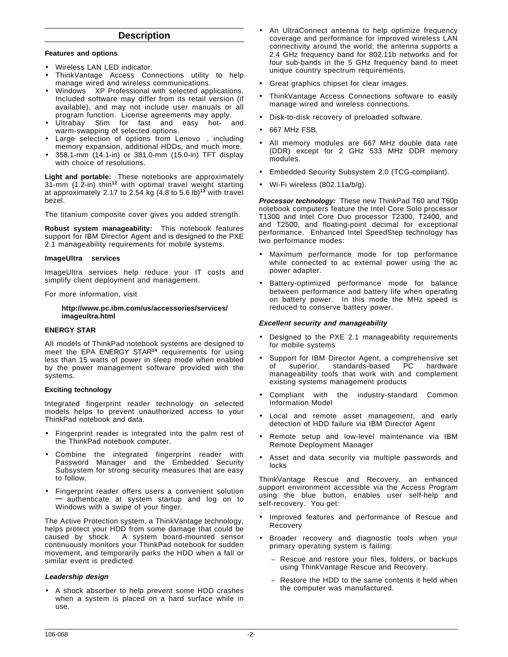# **Description**

#### **Features and options**

- Wireless LAN LED indicator.
- ThinkVantage Access Connections utility to help manage wired and wireless communications.
- Windows™ XP Professional with selected applications. Included software may differ from its retail version (if available), and may not include user manuals or all program function. License agreements may apply.
- Ultrabay Slim for fast and easy hot- and warm-swapping of selected options.
- Large selection of options from Lenovo™, including memory expansion, additional HDDs, and much more.
- 358.1-mm (14.1-in) or 381.0-mm (15.0-in) TFT display with choice of resolutions.

**Light and portable:** These notebooks are approximately 31-mm (1.2-in) thin**<sup>12</sup>** with optimal travel weight starting at approximately 2.17 to 2.54 kg (4.8 to 5.6 lb)**<sup>13</sup>** with travel bezel.

The titanium composite cover gives you added strength.

**Robust system manageability:** This notebook features support for IBM Director Agent and is designed to the PXE 2.1 manageability requirements for mobile systems.

#### **ImageUltra<sup>™</sup> services**

ImageUltra services help reduce your IT costs and simplify client deployment and management.

For more information, visit

#### **http://www.pc.ibm.com/us/accessories/services/ imageultra.html**

#### **ENERGY STAR**

All models of ThinkPad notebook systems are designed to meet the EPA ENERGY STAR**<sup>14</sup>** requirements for using less than 15 watts of power in sleep mode when enabled by the power management software provided with the systems.

#### **Exciting technology**

Integrated fingerprint reader technology on selected models helps to prevent unauthorized access to your ThinkPad notebook and data.

- Fingerprint reader is integrated into the palm rest of the ThinkPad notebook computer.
- Combine the integrated fingerprint reader with Password Manager and the Embedded Security Subsystem for strong security measures that are easy to follow.
- Fingerprint reader offers users a convenient solution **—** authenticate at system startup and log on to Windows with a swipe of your finger.

The Active Protection system, a ThinkVantage technology, helps protect your HDD from some damage that could be caused by shock. A system board-mounted sensor continuously monitors your ThinkPad notebook for sudden movement, and temporarily parks the HDD when a fall or similar event is predicted.

# **Leadership design**

• A shock absorber to help prevent some HDD crashes when a system is placed on a hard surface while in use.

- An UltraConnect antenna to help optimize frequency coverage and performance for improved wireless LAN connectivity around the world; the antenna supports a 2.4 GHz frequency band for 802.11b networks and for four sub-bands in the 5 GHz frequency band to meet unique country spectrum requirements.
- Great graphics chipset for clear images.
- ThinkVantage Access Connections software to easily manage wired and wireless connections.
- Disk-to-disk recovery of preloaded software.
- 667 MHz FSB.
- All memory modules are 667 MHz double data rate (DDR) except for 2 GHz 533 MHz DDR memory modules.
- Embedded Security Subsystem 2.0 (TCG-compliant).
- Wi-Fi wireless (802.11a/b/g).

**Processor technology:** These new ThinkPad T60 and T60p notebook computers feature the Intel Core Solo processor T1300 and Intel Core Duo processor T2300, T2400, and and T2500, and floating-point decimal for exceptional performance. Enhanced Intel SpeedStep technology has two performance modes:

- Maximum performance mode for top performance while connected to ac external power using the ac power adapter.
- Battery-optimized performance mode for balance between performance and battery life when operating on battery power. In this mode the MHz speed is reduced to conserve battery power.

#### **Excellent security and manageability**

- Designed to the PXE 2.1 manageability requirements for mobile systems
- Support for IBM Director Agent, a comprehensive set of superior, standards-based PC manageability tools that work with and complement existing systems management products
- Compliant with the industry-standard Common Information Model
- Local and remote asset management, and early detection of HDD failure via IBM Director Agent
- Remote setup and low-level maintenance via IBM Remote Deployment Manager
- Asset and data security via multiple passwords and locks

ThinkVantage Rescue and Recovery, an enhanced support environment accessible via the Access Program using the blue button, enables user self-help and self-recovery. You get:

- Improved features and performance of Rescue and Recovery
- Broader recovery and diagnostic tools when your primary operating system is failing:
	- Rescue and restore your files, folders, or backups using ThinkVantage Rescue and Recovery.
	- Restore the HDD to the same contents it held when the computer was manufactured.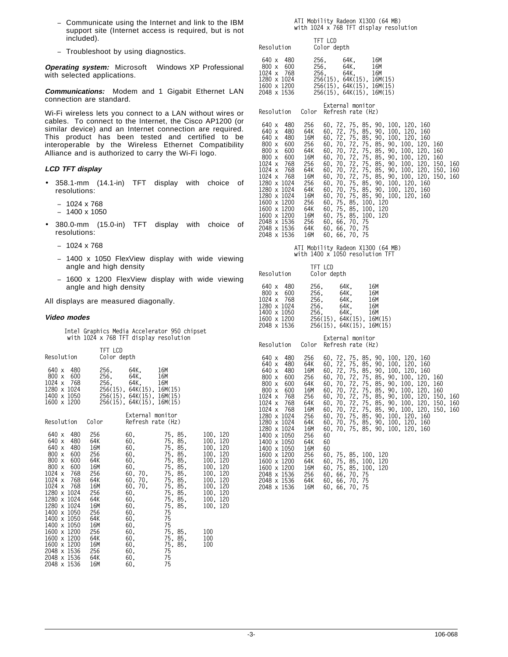- − Communicate using the Internet and link to the IBM support site (Internet access is required, but is not included).
- − Troubleshoot by using diagnostics.

**Operating system:** Microsoft<sup>™</sup> Windows XP Professional with selected applications.

**Communications:** Modem and 1 Gigabit Ethernet LAN connection are standard.

Wi-Fi wireless lets you connect to a LAN without wires or cables. To connect to the Internet, the Cisco AP1200 (or similar device) and an Internet connection are required. This product has been tested and certified to be interoperable by the Wireless Ethernet Compatibility Alliance and is authorized to carry the Wi-Fi logo.

#### **LCD TFT display**

- 358.1-mm (14.1-in) TFT display with choice of resolutions:
	- − 1024 x 768
	- − 1400 x 1050
- 380.0-mm (15.0-in) TFT display with choice of resolutions:
	- − 1024 x 768
	- − 1400 x 1050 FlexView display with wide viewing angle and high density
	- − 1600 x 1200 FlexView display with wide viewing angle and high density

All displays are measured diagonally.

#### **Video modes**

**Intel Graphics Media Accelerator 950 chipset with 1024 x 768 TFT display resolution**

| Resolution                                                                                                                                                                                                                                                                                                                                       | TFT LCD                                                                                                                                         | Color depth                                                                                                                                  |                                                                                                                                                                                                                                                                                                                                                                                                                                                            |            |
|--------------------------------------------------------------------------------------------------------------------------------------------------------------------------------------------------------------------------------------------------------------------------------------------------------------------------------------------------|-------------------------------------------------------------------------------------------------------------------------------------------------|----------------------------------------------------------------------------------------------------------------------------------------------|------------------------------------------------------------------------------------------------------------------------------------------------------------------------------------------------------------------------------------------------------------------------------------------------------------------------------------------------------------------------------------------------------------------------------------------------------------|------------|
| 640 x 480<br>800 x 600<br>1024 x 768<br>1280 x 1024<br>1400 x 1050                                                                                                                                                                                                                                                                               | 256,                                                                                                                                            | 256. 64K.<br>64K,<br>256, 64K, 16M<br>256(15), 64K(15), 16M(15)<br>256(15), 64K(15), 16M(15)<br>$1600 \times 1200$ 256(15), 64K(15), 16M(15) | 16M<br>16M                                                                                                                                                                                                                                                                                                                                                                                                                                                 |            |
| Resolution Color                                                                                                                                                                                                                                                                                                                                 |                                                                                                                                                 | External monitor                                                                                                                             | Refresh rate (Hz)                                                                                                                                                                                                                                                                                                                                                                                                                                          |            |
| - 480<br>640 x<br>640 x<br>640 x<br>- 480<br>$800 \times$<br>- 600<br>800 x 600<br>800 x 600<br>$1024 \times 768$<br>1024 x 768<br>1024 x 768<br>1280 x 1024<br>1280 x 1024 64K<br>$1280 \times 1024$ 16M<br>1400 x 1050<br>1400 x 1050<br>1400 x 1050<br>1600 x 1200<br>1600 x 1200<br>1600 x 1200<br>2048 x 1536<br>2048 x 1536<br>2048 x 1536 | 256<br>480 64K<br>16M<br>256<br>64K<br>16M<br>256<br>64K <b>12</b><br>16M<br>256<br>256<br>64K<br>16M<br>256<br>64K<br>16M<br>256<br>64K<br>16M | 60.<br>60,<br>60,<br>60.<br>60.<br>60,<br>60, 60<br>60,<br>60,<br>60.<br>60.<br>60,<br>60,<br>60,<br>60.<br>60.<br>60.                       | 75, 85, 100, 120<br>75, 85, 100, 120<br>75, 85, 100, 120<br>75, 85, 100, 120<br>75, 85, 100, 120<br>$\begin{array}{llll} 60, & \quad & 75, & 85, & \quad 100, & 120, \ 60, & 70, & \quad 75, & 85, & \quad 100, & 120, \ 60, & 70, & \quad & 75, & 85, & \quad 100, & 120, \ \end{array}$<br>60, 70, 75, 85, 100, 120<br>75, 85, 100, 120<br>75, 85, 100, 120<br>75, 85, 100, 120<br>75<br>75<br>75<br>75, 85,<br>75, 85, 100<br>75, 85,<br>75<br>75<br>75 | 100<br>100 |

# **ATI Mobility Radeon X1300 (64 MB) with 1024 x 768 TFT display resolution**

| Resolution                                                                               | TFT LCD<br>Color depth                                                                                                             |                  |     |
|------------------------------------------------------------------------------------------|------------------------------------------------------------------------------------------------------------------------------------|------------------|-----|
| 640 x 480<br>$800 \times 600$<br>1024 x 768<br>1280 x 1024<br>1600 x 1200<br>2048 x 1536 | 256. 64K.<br>256. 64K. 16M<br>256. 64K. 16M<br>256(15). 64K(15). 16M(15)<br>256(15). 64K(15). 16M(15)<br>256(15), 64K(15), 16M(15) |                  | 16M |
|                                                                                          |                                                                                                                                    | Eytarnal monitor |     |

| Resolution                                                                                                                                                                                                                                                                            | Color                                                                                                               | <b>LAGUITION INDIA CO</b><br>Refresh rate (Hz)                                                                                                                                                                                                                                                                                                                                                                                                                                                                                                                                                                             |
|---------------------------------------------------------------------------------------------------------------------------------------------------------------------------------------------------------------------------------------------------------------------------------------|---------------------------------------------------------------------------------------------------------------------|----------------------------------------------------------------------------------------------------------------------------------------------------------------------------------------------------------------------------------------------------------------------------------------------------------------------------------------------------------------------------------------------------------------------------------------------------------------------------------------------------------------------------------------------------------------------------------------------------------------------------|
| 640 x<br>480<br>480<br>640 x<br>640 x<br>480<br>800 x<br>600<br>600<br>800 x<br>$800 \times 600$<br>1024 x 768<br>1024 x 768<br>1024 x 768<br>1280 x 1024<br>1280 x 1024<br>1280 x 1024<br>1600 x 1200<br>1600 x 1200<br>1600 x 1200<br>2048 x 1536<br>2048 x 1536 64K<br>2048 x 1536 | 256<br>64K<br>16M<br>256<br>64K<br>16M<br>256<br>64K<br>16M<br>256<br>64K<br>16M<br>256<br>64K<br>16M<br>256<br>16M | 60, 72, 75, 85, 90, 100, 120, 160<br>60, 72, 75, 85, 90, 100, 120, 160<br>60, 72, 75, 85, 90, 100, 120, 160<br>60, 70, 72, 75, 85, 90, 100, 120, 160<br>60, 70, 72, 75, 85, 90, 100, 120, 160<br>60, 70, 72, 75, 85, 90, 100, 120, 160<br>60, 70, 72, 75, 85, 90, 100, 120, 150, 160<br>60, 70, 72, 75, 85, 90, 100, 120, 150, 160<br>60, 70, 72, 75, 85, 90, 100, 120, 150, 160<br>60, 70, 75, 85, 90, 100, 120, 160<br>60, 70, 75, 85, 90, 100, 120, 160<br>60, 70, 75, 85, 90, 100, 120, 160<br>60, 75, 85, 100, 120<br>60, 75, 85, 100, 120<br>60, 75, 85, 100, 120<br>60, 66, 70, 75<br>60.66.70.75<br>60, 66, 70, 75 |
|                                                                                                                                                                                                                                                                                       |                                                                                                                     |                                                                                                                                                                                                                                                                                                                                                                                                                                                                                                                                                                                                                            |

# **ATI Mobility Radeon X1300 (64 MB) with 1400 x 1050 resolution TFT**

| Resolution                                                                                                                                                                                                                                                                                                              | TFT LCD                                                                                                                                                 | Color depth                                                                                                                            |                                                                                                                                                                                                                                                                                                                                                                                                                                                                                                 |  |
|-------------------------------------------------------------------------------------------------------------------------------------------------------------------------------------------------------------------------------------------------------------------------------------------------------------------------|---------------------------------------------------------------------------------------------------------------------------------------------------------|----------------------------------------------------------------------------------------------------------------------------------------|-------------------------------------------------------------------------------------------------------------------------------------------------------------------------------------------------------------------------------------------------------------------------------------------------------------------------------------------------------------------------------------------------------------------------------------------------------------------------------------------------|--|
| 640 x 480<br>800 x 600<br>1024 x 768<br>1280 x 1024<br>1400 x 1050<br>1600 x 1200<br>2048 x 1536                                                                                                                                                                                                                        | 256.<br>256.<br>256.<br>256.<br>256.                                                                                                                    | 64K.<br>64K.<br>64K.<br>64K.<br>64K,<br>256(15), 64K(15), 16M(15)<br>256(15), 64K(15), 16M(15)                                         | 16M<br>16M<br>16M<br>16M<br>16M                                                                                                                                                                                                                                                                                                                                                                                                                                                                 |  |
| Resolution                                                                                                                                                                                                                                                                                                              | Color                                                                                                                                                   | External monitor<br>Refresh rate (Hz)                                                                                                  |                                                                                                                                                                                                                                                                                                                                                                                                                                                                                                 |  |
| - 480<br>640 x<br>- 480<br>640 x<br>640 x<br>- 480<br>800 x 600<br>800 x 600<br>800 x 600<br>1024 x 768<br>1024 x 768<br>1024 x 768<br>1280 x 1024<br>1280 x 1024<br>1280 x 1024<br>1400 x 1050<br>1400 x 1050<br>1400 x 1050<br>1600 x 1200<br>1600 x 1200<br>1600 x 1200<br>2048 x 1536<br>2048 x 1536<br>2048 x 1536 | 256<br>64K<br>16M<br>256<br>64K<br>16M<br>$\frac{256}{64}$<br>16M<br>256<br>64K<br>16M<br>256<br>64K<br>16M<br>256<br>- 64K<br>16M<br>256<br>64K<br>16M | 60<br>60<br>60<br>60, 75, 85, 100, 120<br>60, 75, 85, 100, 120<br>60, 75, 85, 100, 120<br>60, 66, 70, 75<br>60.66.70.75<br>60.66.70.75 | 60, 72, 75, 85, 90, 100, 120, 160<br>60, 72, 75, 85, 90, 100, 120, 160<br>60, 72, 75, 85, 90, 100, 120, 160<br>60, 70, 72, 75, 85, 90, 100, 120, 160<br>60, 70, 72, 75, 85, 90, 100, 120, 160<br>60, 70, 72, 75, 85, 90, 100, 120, 160<br>60, 70, 72, 75, 85, 90, 100, 120, 150, 160<br>60, 70, 72, 75, 85, 90, 100, 120, 150, 160<br>60, 70, 72, 75, 85, 90, 100, 120, 150, 160<br>60, 70, 75, 85, 90, 100, 120, 160<br>60, 70, 75, 85, 90, 100, 120, 160<br>60, 70, 75, 85, 90, 100, 120, 160 |  |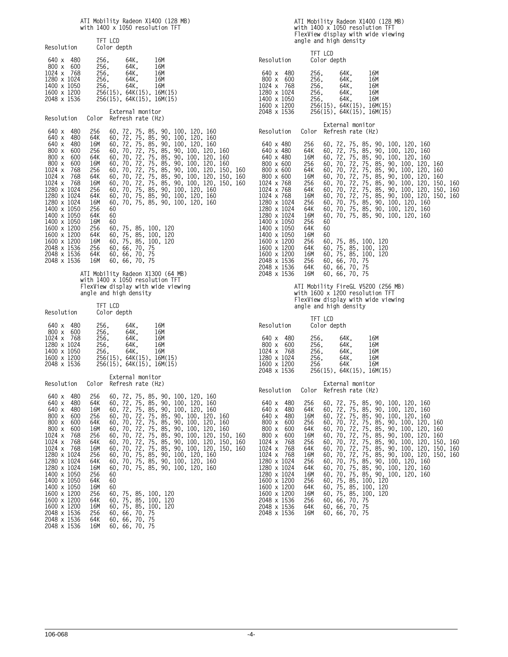# **ATI Mobility Radeon X1400 (128 MB) with 1400 x 1050 resolution TFT**

|                                                                                                                                                                                                                                                      |                                                                                                       |                                                     | WILII 1400 X 1030 FESOTULTUIL IFT                                                         |                                                                                                                                                                                                                                                                                                                                                                                                                                                                                         |            |
|------------------------------------------------------------------------------------------------------------------------------------------------------------------------------------------------------------------------------------------------------|-------------------------------------------------------------------------------------------------------|-----------------------------------------------------|-------------------------------------------------------------------------------------------|-----------------------------------------------------------------------------------------------------------------------------------------------------------------------------------------------------------------------------------------------------------------------------------------------------------------------------------------------------------------------------------------------------------------------------------------------------------------------------------------|------------|
| Resolution                                                                                                                                                                                                                                           | TFT LCD                                                                                               | Color depth                                         |                                                                                           |                                                                                                                                                                                                                                                                                                                                                                                                                                                                                         |            |
| 640 x 480<br>800 x 600<br>1024 x 768<br>1280 x 1024<br>1400 x 1050<br>1600 x 1200<br>2048 x 1536                                                                                                                                                     | 256.<br>256.                                                                                          | 64K.<br>256. 64K.<br>256. 64K,<br>64K.<br>256. 64K. | 16M<br>16M<br>16M<br>16M<br>16M<br>256(15), 64K(15), 16M(15)<br>256(15), 64K(15), 16M(15) |                                                                                                                                                                                                                                                                                                                                                                                                                                                                                         |            |
| Resolution                                                                                                                                                                                                                                           |                                                                                                       | External monitor<br>Color Refresh rate (Hz)         |                                                                                           |                                                                                                                                                                                                                                                                                                                                                                                                                                                                                         |            |
| 480<br>640 x<br>640 x<br>480<br>640 x 480<br>800 x 600<br>800 x 600<br>800 x 600<br>1024 x 768<br>1024 x<br>768<br>$1024 \times$<br>768<br>1280 x 1024<br>1280 x 1024<br>1280 x 1024<br>1400 x 1050<br>1400 x 1050<br>1400 x 1050<br>1600 x 1200 256 | 256<br>64K<br>16M<br>256<br>64K<br>16M<br>256<br>64K<br>16M<br>256<br>64K<br>16M<br>256<br>64K<br>16M | 60<br>60<br>60                                      | 60, 75, 85, 100, 120                                                                      | 60, 72, 75, 85, 90, 100, 120, 160<br>60, 72, 75, 85, 90, 100, 120, 160<br>60, 72, 75, 85, 90, 100, 120, 160<br>60, 70, 72, 75, 85, 90, 100, 120, 160<br>60, 70, 72, 75, 85, 90, 100, 120, 160<br>60, 70, 72, 75, 85, 90, 100, 120,<br>60, 70, 72, 75, 85, 90, 100, 120, 150,<br>60, 70, 72, 75, 85, 90, 100, 120, 150, 160<br>60, 70, 72, 75, 85, 90, 100, 120, 150, 160<br>60, 70, 75, 85, 90, 100, 120, 160<br>60, 70, 75, 85, 90, 100, 120, 160<br>60, 70, 75, 85, 90, 100, 120, 160 | 160<br>160 |
| 1600 x 1200 64K<br>1600 x 1200 16M<br>2048 x 1536 256 60, 66, 70, 75<br>2048 x 1536 64K<br>2048 x 1536                                                                                                                                               | 16M                                                                                                   | 60. 66. 70. 75<br>60, 66, 70, 75                    | 60, 75, 85, 100, 120<br>60, 75, 85, 100, 120                                              |                                                                                                                                                                                                                                                                                                                                                                                                                                                                                         |            |

**ATI Mobility Radeon X1300 (64 MB) with 1400 x 1050 resolution TFT FlexView display with wide viewing angle and high density**

| Resolution                                 |            | TFT LCD<br>Color depth |                           |                   |
|--------------------------------------------|------------|------------------------|---------------------------|-------------------|
| 640 x<br>$800 \times 600$<br>$1024 \times$ | 480<br>768 | 256.<br>256.<br>256.   | 64K.<br>64K.<br>64K.      | 16M<br>16M<br>16M |
| 1280 x 1024                                |            | 256.                   | 64K.                      | 16M               |
| 1400 x 1050                                |            | 256.                   | 64K.                      | 16M               |
| 1600 x 1200                                |            |                        | 256(15), 64K(15), 16M(15) |                   |
| 2048 x 1536                                |            |                        | 256(15). 64K(15). 16M(15) |                   |

| Resolution Color                                                                                                                                                                                                                  |                                                                                                         | External monitor<br>Refresh rate (Hz)                                                                                                                                                                                                                                                                                                                                                                                                                                                                             |
|-----------------------------------------------------------------------------------------------------------------------------------------------------------------------------------------------------------------------------------|---------------------------------------------------------------------------------------------------------|-------------------------------------------------------------------------------------------------------------------------------------------------------------------------------------------------------------------------------------------------------------------------------------------------------------------------------------------------------------------------------------------------------------------------------------------------------------------------------------------------------------------|
| 480<br>640 x<br>480<br>640 x<br>640 x<br>480<br>600<br>800 x<br>$800 \times 600$<br>800 x 600<br>1024 x 768<br>1024 x 768<br>1024 x 768<br>1280 x 1024<br>1280 x 1024<br>1280 x 1024<br>1400 x 1050<br>1400 x 1050<br>1400 x 1050 | 256<br>64K<br>16M<br>256<br>64K<br>16M<br>- 256<br>64K<br>16M<br>256<br>64K<br>16M<br>256<br>64K<br>16M | 60, 72, 75, 85, 90, 100, 120, 160<br>60, 72, 75, 85, 90, 100, 120, 160<br>60, 72, 75, 85, 90, 100, 120, 160<br>60, 70, 72, 75, 85, 90, 100, 120, 160<br>60, 70, 72, 75, 85, 90, 100, 120, 160<br>60, 70, 72, 75, 85, 90, 100, 120, 160<br>60, 70, 72, 75, 85, 90, 100, 120, 150, 160<br>60, 70, 72, 75, 85, 90, 100, 120, 150, 160<br>60, 70, 72, 75, 85, 90, 100, 120, 150, 160<br>60, 70, 75, 85, 90, 100, 120, 160<br>60, 70, 75, 85, 90, 100, 120, 160<br>60, 70, 75, 85, 90, 100, 120, 160<br>60<br>60<br>60 |
| 1600 x 1200<br>1600 x 1200<br>1600 x 1200<br>2048 x 1536 256<br>2048 x 1536 64K<br>2048 x 1536                                                                                                                                    | 256<br>64K<br>16M<br>16M                                                                                | 60, 75, 85, 100, 120<br>60. 75. 85. 100. 120<br>60. 75. 85. 100. 120<br>60.66.70.75<br>60.66.70.75<br>60, 66, 70, 75                                                                                                                                                                                                                                                                                                                                                                                              |

# **ATI Mobility Radeon X1400 (128 MB) with 1400 x 1050 resolution TFT FlexView display with wide viewing angle and high density**

| Resolution                                                                                                                                                                                                                                                                                               | TFT LCD<br>Color depth                                                                                                                                                                                                |                                                                                                                                                                                                                                                                                                                                                                                                                                                                                                                                                                                                                                                                                                                                                                                                                     |  |
|----------------------------------------------------------------------------------------------------------------------------------------------------------------------------------------------------------------------------------------------------------------------------------------------------------|-----------------------------------------------------------------------------------------------------------------------------------------------------------------------------------------------------------------------|---------------------------------------------------------------------------------------------------------------------------------------------------------------------------------------------------------------------------------------------------------------------------------------------------------------------------------------------------------------------------------------------------------------------------------------------------------------------------------------------------------------------------------------------------------------------------------------------------------------------------------------------------------------------------------------------------------------------------------------------------------------------------------------------------------------------|--|
| 480<br>640 x<br>800 x<br>600<br>1024 x<br>768<br>1280 x 1024<br>1400 x 1050<br>1600 x 1200<br>2048 x 1536                                                                                                                                                                                                | 256.<br>256,<br>256,<br>256,<br>256,                                                                                                                                                                                  | 64K.<br>16M<br>64K,<br>16M<br>64K,<br>16M<br>64K.<br>16M<br>64K,<br>16M<br>256(15), 64K(15), 16M(15)<br>256(15), 64K(15), 16M(15)                                                                                                                                                                                                                                                                                                                                                                                                                                                                                                                                                                                                                                                                                   |  |
| Resolution                                                                                                                                                                                                                                                                                               | Color                                                                                                                                                                                                                 | External monitor<br>Refresh rate (Hz)                                                                                                                                                                                                                                                                                                                                                                                                                                                                                                                                                                                                                                                                                                                                                                               |  |
| 640 x 480<br>640 x 480<br>640 x 480<br>800 x 600<br>$800 \times 600$<br>$800 \times 600$<br>1024 x 768<br>1024 x 768<br>1024 x 768<br>1280 x 1024<br>1280 x 1024<br>1280 x 1024<br>1400 x 1050<br>1400 x 1050                                                                                            | 256<br>64K<br>16M<br>256<br>64K<br>16M<br>60.<br>256<br>64K<br>16M<br>256<br>64K<br>16M<br>256<br>60<br>64K<br>60                                                                                                     | 60, 72, 75, 85, 90, 100, 120,<br>-160<br>60, 72, 75, 85, 90, 100, 120, 160<br>60, 72, 75, 85, 90, 100, 120, 160<br>60, 70, 72, 75, 85, 90, 100, 120,<br>160<br>72,<br>75, 85, 90, 100, 120,<br>60, 70,<br>160<br>72,<br>75, 85, 90, 100,<br>70,<br>120.<br>160<br>60, 70, 72, 75,<br>85, 90, 100, 120,<br>150.<br>160<br>60, 70, 72,<br>75, 85, 90, 100, 120, 150, 160<br>60, 70, 72,<br>75, 85, 90, 100, 120,<br>150.<br>160<br>60, 70, 75, 85, 90, 100, 120, 160<br>60, 70, 75, 85, 90, 100, 120, 160<br>60, 70, 75, 85, 90, 100, 120, 160                                                                                                                                                                                                                                                                        |  |
| 1400 x 1050<br>1600 x 1200<br>1600 x 1200<br>1600 x 1200<br>2048 x 1536<br>2048 x 1536<br>2048 x 1536                                                                                                                                                                                                    | 60<br>16M<br>256<br>64K<br>16M<br>256<br>64K<br>16M                                                                                                                                                                   | 60, 75, 85, 100, 120<br>60, 75, 85, 100, 120<br>60, 75, 85, 100, 120<br>60, 66, 70,<br>-75<br>60, 66, 70,<br>-75<br>60, 66, 70, 75                                                                                                                                                                                                                                                                                                                                                                                                                                                                                                                                                                                                                                                                                  |  |
|                                                                                                                                                                                                                                                                                                          |                                                                                                                                                                                                                       | ATI Mobility FireGL V5200 (256 MB)<br>with 1600 x 1200 resolution TFT<br>FlexView display with wide viewing<br>angle and high density                                                                                                                                                                                                                                                                                                                                                                                                                                                                                                                                                                                                                                                                               |  |
| Resolution                                                                                                                                                                                                                                                                                               | TFT LCD<br>Color depth                                                                                                                                                                                                |                                                                                                                                                                                                                                                                                                                                                                                                                                                                                                                                                                                                                                                                                                                                                                                                                     |  |
| 640 x<br>480<br>800 x<br>600<br>$1024 \times$<br>768<br>1280 x 1024<br>1600 x 1200<br>2048 x 1536                                                                                                                                                                                                        | 256.<br>256,<br>256,<br>256,<br>256                                                                                                                                                                                   | 64K,<br>16M<br>64K,<br>16M<br>64K.<br>16M<br>64K,<br>16M<br>64K  <br>16M<br>256(15), 64K(15), 16M(15)                                                                                                                                                                                                                                                                                                                                                                                                                                                                                                                                                                                                                                                                                                               |  |
| Resolution                                                                                                                                                                                                                                                                                               | Color                                                                                                                                                                                                                 | External monitor<br>Refresh rate (Hz)                                                                                                                                                                                                                                                                                                                                                                                                                                                                                                                                                                                                                                                                                                                                                                               |  |
| 640 x<br>480<br>480<br>640 x<br>640 x<br>480<br>600<br>800 x<br>800 x<br>600<br>800 x<br>600<br>1024 x<br>768<br>1024 x<br>768<br>1024 x<br>768<br>1280 x<br>1024<br>1280 x<br>1024<br>1280 x<br>1024<br>1600 x 1200<br>1200<br>1600 x<br>1600 x<br>1200<br>2048 x<br>1536<br>2048 x 1536<br>2048 x 1536 | 256<br>64K<br>16M<br>256<br>60,<br>64K<br>60,<br>16M<br>60,<br>256<br>60,<br>64K<br>60,<br>16M<br>60,<br>256<br>60,<br>64K<br>60,<br>16M<br>60,<br>256<br>60,<br>64K<br>60,<br>16M<br>60.<br>256<br>60,<br>64K<br>16M | 60, 72, 75, 85, 90, 100, 120,<br>160<br>60, 72, 75, 85, 90, 100, 120, 160<br>60, 72, 75, 85, 90, 100,<br>120.<br>160<br>70,<br>72,<br>75,<br>85,<br>90,<br>100,<br>120,<br>160<br>72,<br>75,<br>85,<br>90,<br>120,<br>70,<br>100,<br>160<br>90,<br>72,<br>75,<br>85,<br>70,<br>100,<br>120,<br>160<br>72,<br>70,<br>75,<br>85,<br>90,<br>100,<br>120,<br>150,<br>160<br>$7\overline{2}$<br>75,<br>85,<br>90,<br>70,<br>100,<br>120,<br>150,<br>160<br>72,<br>75,<br>85,<br>90,<br>120.<br>70,<br>100,<br>150.<br>160<br>70,<br>75,<br>90,<br>100,<br>85,<br>120,<br>160<br>75,<br>85,<br>90,<br>70,<br>100, 120,<br>160<br>70,<br>75,<br>85,<br>90, 100,<br>120.<br>160<br>100, 120<br>75,<br>85,<br>75,<br>85,<br>100, 120<br>75,<br>85,<br>100,<br>120<br>66,<br>70,<br>75<br>60, 66,<br>70, 75<br>60, 66, 70, 75 |  |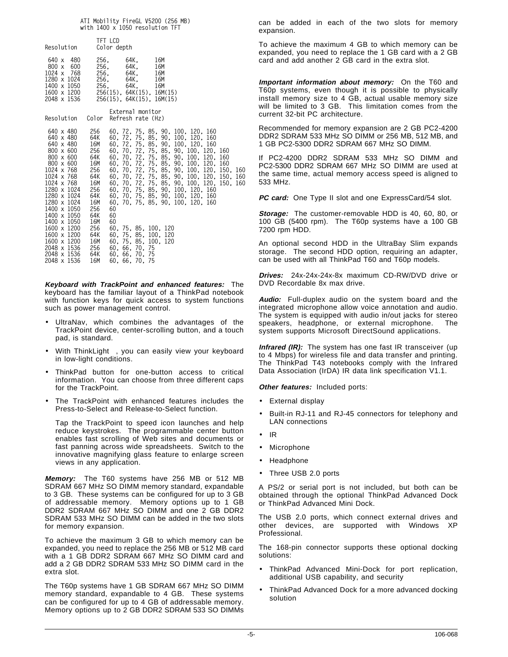#### **ATI Mobility FireGL V5200 (256 MB) with 1400 x 1050 resolution TFT**

| Resolution                                                                                                                                                                                                                                                                                                      |                                                                                                                                                     | TFT LCD<br>Color depth                                                                                                                       |                                                                 |                                                                                                                                                                                                                                                                                                                                                                                                                                                                                             |     |
|-----------------------------------------------------------------------------------------------------------------------------------------------------------------------------------------------------------------------------------------------------------------------------------------------------------------|-----------------------------------------------------------------------------------------------------------------------------------------------------|----------------------------------------------------------------------------------------------------------------------------------------------|-----------------------------------------------------------------|---------------------------------------------------------------------------------------------------------------------------------------------------------------------------------------------------------------------------------------------------------------------------------------------------------------------------------------------------------------------------------------------------------------------------------------------------------------------------------------------|-----|
| 640 x 480<br>800 x 600<br>1024 x 768<br>1280 x 1024<br>1400 x 1050<br>1600 x 1200<br>2048 x 1536                                                                                                                                                                                                                | 256.<br>256.<br>256.<br>256.<br>256.                                                                                                                | 64K.<br>256(15), 64K(15), 16M(15)<br>256(15), 64K(15), 16M(15)                                                                               | 16M<br>64K,<br>16M<br>64K,<br>16M<br>64K.<br>16M<br>64K.<br>16M |                                                                                                                                                                                                                                                                                                                                                                                                                                                                                             |     |
| Resolution Color                                                                                                                                                                                                                                                                                                |                                                                                                                                                     | External monitor<br>Refresh rate (Hz)                                                                                                        |                                                                 |                                                                                                                                                                                                                                                                                                                                                                                                                                                                                             |     |
| 640 x 480<br>640 x 480<br>640 x 480<br>800 x 600<br>800 x 600<br>$800 \times 600$<br>1024 x 768<br>1024 x 768<br>1024 x 768<br>1280 x 1024<br>1280 x 1024<br>1280 x 1024<br>1400 x 1050<br>1400 x 1050<br>1400 x 1050<br>1600 x 1200<br>1600 x 1200<br>1600 x 1200<br>2048 x 1536<br>2048 x 1536<br>2048 x 1536 | 256<br>64K<br>16M<br>256<br>$64K$<br>$16M$<br>256<br>64K<br>16M<br>256<br>64K<br>16M<br>256<br>64K<br>16M<br>256<br>64K<br>16M<br>256<br>64K<br>16M | 60<br>60<br>60<br>60, 75, 85, 100, 120<br>60, 75, 85, 100, 120<br>60, 75, 85, 100, 120<br>60, 66, 70, 75<br>60, 66, 70, 75<br>60, 66, 70, 75 |                                                                 | 60, 72, 75, 85, 90, 100, 120, 160<br>60, 72, 75, 85, 90, 100, 120, 160<br>60, 72, 75, 85, 90, 100, 120, 160<br>60, 70, 72, 75, 85, 90, 100, 120, 160<br>60, 70, 72, 75, 85, 90, 100, 120, 160<br>60, 70, 72, 75, 85, 90, 100, 120, 160<br>60, 70, 72, 75, 85, 90, 100, 120, 150, 160<br>60, 70, 72, 75, 85, 90, 100, 120, 150,<br>60, 70, 72, 75, 85, 90, 100, 120, 150, 160<br>60, 70, 75, 85, 90, 100, 120, 160<br>60, 70, 75, 85, 90, 100, 120, 160<br>60, 70, 75, 85, 90, 100, 120, 160 | 160 |

**Keyboard with TrackPoint and enhanced features:** The keyboard has the familiar layout of a ThinkPad notebook with function keys for quick access to system functions such as power management control.

- UltraNav, which combines the advantages of the TrackPoint device, center-scrolling button, and a touch pad, is standard.
- With ThinkLight®, you can easily view your keyboard in low-light conditions.
- ThinkPad button for one-button access to critical information. You can choose from three different caps for the TrackPoint.
- The TrackPoint with enhanced features includes the Press-to-Select and Release-to-Select function.

Tap the TrackPoint to speed icon launches and help reduce keystrokes. The programmable center button enables fast scrolling of Web sites and documents or fast panning across wide spreadsheets. Switch to the innovative magnifying glass feature to enlarge screen views in any application.

**Memory:** The T60 systems have 256 MB or 512 MB SDRAM 667 MHz SO DIMM memory standard, expandable to 3 GB. These systems can be configured for up to 3 GB of addressable memory. Memory options up to 1 GB DDR2 SDRAM 667 MHz SO DIMM and one 2 GB DDR2 SDRAM 533 MHz SO DIMM can be added in the two slots for memory expansion.

To achieve the maximum 3 GB to which memory can be expanded, you need to replace the 256 MB or 512 MB card with a 1 GB DDR2 SDRAM 667 MHz SO DIMM card and add a 2 GB DDR2 SDRAM 533 MHz SO DIMM card in the extra slot.

The T60p systems have 1 GB SDRAM 667 MHz SO DIMM memory standard, expandable to 4 GB. These systems can be configured for up to 4 GB of addressable memory. Memory options up to 2 GB DDR2 SDRAM 533 SO DIMMs can be added in each of the two slots for memory expansion.

To achieve the maximum 4 GB to which memory can be expanded, you need to replace the 1 GB card with a 2 GB card and add another 2 GB card in the extra slot.

**Important information about memory:** On the T60 and T60p systems, even though it is possible to physically install memory size to 4 GB, actual usable memory size will be limited to 3 GB. This limitation comes from the current 32-bit PC architecture.

Recommended for memory expansion are 2 GB PC2-4200 DDR2 SDRAM 533 MHz SO DIMM or 256 MB, 512 MB, and 1 GB PC2-5300 DDR2 SDRAM 667 MHz SO DIMM.

If PC2-4200 DDR2 SDRAM 533 MHz SO DIMM and PC2-5300 DDR2 SDRAM 667 MHz SO DIMM are used at the same time, actual memory access speed is aligned to 533 MHz.

**PC card:** One Type II slot and one ExpressCard/54 slot.

**Storage:** The customer-removable HDD is 40, 60, 80, or 100 GB (5400 rpm). The T60p systems have a 100 GB 7200 rpm HDD.

An optional second HDD in the UltraBay Slim expands storage. The second HDD option, requiring an adapter, can be used with all ThinkPad T60 and T60p models.

**Drives:** 24x-24x-24x-8x maximum CD-RW/DVD drive or DVD Recordable 8x max drive.

**Audio:** Full-duplex audio on the system board and the integrated microphone allow voice annotation and audio. The system is equipped with audio in/out jacks for stereo speakers, headphone, or external microphone. The system supports Microsoft DirectSound applications.

**Infrared (IR):** The system has one fast IR transceiver (up to 4 Mbps) for wireless file and data transfer and printing. The ThinkPad T43 notebooks comply with the Infrared Data Association (IrDA) IR data link specification V1.1.

**Other features:** Included ports:

- External display
- Built-in RJ-11 and RJ-45 connectors for telephony and LAN connections
- IR
- Microphone
- Headphone
- Three USB 2.0 ports

A PS/2 or serial port is not included, but both can be obtained through the optional ThinkPad Advanced Dock or ThinkPad Advanced Mini Dock.

The USB 2.0 ports, which connect external drives and other devices, are supported with Windows XP Professional.

The 168-pin connector supports these optional docking solutions:

- ThinkPad Advanced Mini-Dock for port replication, additional USB capability, and security
- ThinkPad Advanced Dock for a more advanced docking solution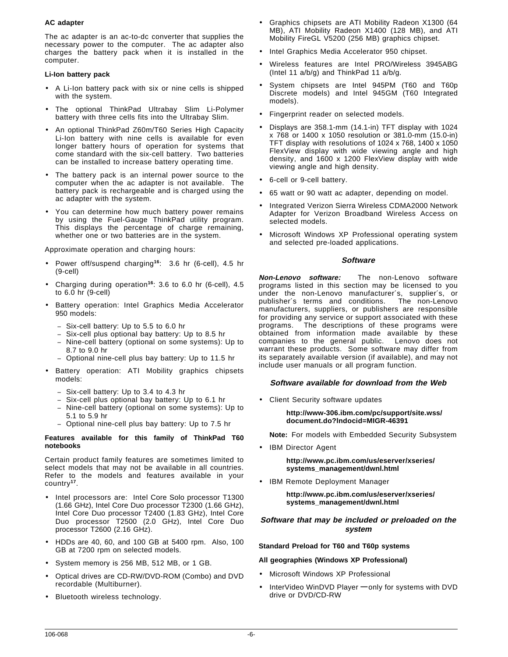# **AC adapter**

The ac adapter is an ac-to-dc converter that supplies the necessary power to the computer. The ac adapter also charges the battery pack when it is installed in the computer.

#### **Li-Ion battery pack**

- A Li-Ion battery pack with six or nine cells is shipped with the system.
- The optional ThinkPad Ultrabay Slim Li-Polymer battery with three cells fits into the Ultrabay Slim.
- An optional ThinkPad Z60m/T60 Series High Capacity Li-Ion battery with nine cells is available for even longer battery hours of operation for systems that come standard with the six-cell battery. Two batteries can be installed to increase battery operating time.
- The battery pack is an internal power source to the computer when the ac adapter is not available. The battery pack is rechargeable and is charged using the ac adapter with the system.
- You can determine how much battery power remains by using the Fuel-Gauge ThinkPad utility program. This displays the percentage of charge remaining, whether one or two batteries are in the system.

Approximate operation and charging hours:

- Power off/suspend charging**<sup>16</sup>**: 3.6 hr (6-cell), 4.5 hr (9-cell)
- Charging during operation**<sup>16</sup>**: 3.6 to 6.0 hr (6-cell), 4.5 to 6.0 hr (9-cell)
- Battery operation: Intel Graphics Media Accelerator 950 models:
	- − Six-cell battery: Up to 5.5 to 6.0 hr
	- − Six-cell plus optional bay battery: Up to 8.5 hr
	- − Nine-cell battery (optional on some systems): Up to 8.7 to 9.0 hr
	- − Optional nine-cell plus bay battery: Up to 11.5 hr
- Battery operation: ATI Mobility graphics chipsets models:
	- Six-cell battery: Up to 3.4 to 4.3 hr
	- − Six-cell plus optional bay battery: Up to 6.1 hr
	- − Nine-cell battery (optional on some systems): Up to 5.1 to 5.9 hr
	- − Optional nine-cell plus bay battery: Up to 7.5 hr

#### **Features available for this family of ThinkPad T60 notebooks**

Certain product family features are sometimes limited to select models that may not be available in all countries. Refer to the models and features available in your country**<sup>17</sup>**.

- Intel processors are: Intel Core Solo processor T1300 (1.66 GHz), Intel Core Duo processor T2300 (1.66 GHz), Intel Core Duo processor T2400 (1.83 GHz), Intel Core Duo processor T2500 (2.0 GHz), Intel Core Duo processor T2600 (2.16 GHz).
- HDDs are 40, 60, and 100 GB at 5400 rpm. Also, 100 GB at 7200 rpm on selected models.
- System memory is 256 MB, 512 MB, or 1 GB.
- Optical drives are CD-RW/DVD-ROM (Combo) and DVD recordable (Multiburner).
- Bluetooth wireless technology.
- Graphics chipsets are ATI Mobility Radeon X1300 (64 MB), ATI Mobility Radeon X1400 (128 MB), and ATI Mobility FireGL V5200 (256 MB) graphics chipset.
- Intel Graphics Media Accelerator 950 chipset.
- Wireless features are Intel PRO/Wireless 3945ABG (Intel 11 a/b/g) and ThinkPad 11 a/b/g.
- System chipsets are Intel 945PM (T60 and T60p Discrete models) and Intel 945GM (T60 Integrated models).
- Fingerprint reader on selected models.
- Displays are 358.1-mm (14.1-in) TFT display with 1024 x 768 or 1400 x 1050 resolution or 381.0-mm (15.0-in) TFT display with resolutions of 1024 x 768, 1400 x 1050 FlexView display with wide viewing angle and high density, and 1600 x 1200 FlexView display with wide viewing angle and high density.
- 6-cell or 9-cell battery.
- 65 watt or 90 watt ac adapter, depending on model.
- Integrated Verizon Sierra Wireless CDMA2000 Network Adapter for Verizon Broadband Wireless Access on selected models.
- Microsoft Windows XP Professional operating system and selected pre-loaded applications.

#### **Software**

**Non-Lenovo software:** The non-Lenovo software programs listed in this section may be licensed to you under the non-Lenovo manufacturer′s, supplier′s, or publisher′s terms and conditions. The non-Lenovo manufacturers, suppliers, or publishers are responsible for providing any service or support associated with these programs. The descriptions of these programs were obtained from information made available by these companies to the general public. Lenovo does not warrant these products. Some software may differ from its separately available version (if available), and may not include user manuals or all program function.

# **Software available for download from the Web**

• Client Security software updates

**http://www-306.ibm.com/pc/support/site.wss/ document.do?lndocid=MIGR-46391**

**Note:** For models with Embedded Security Subsystem

• IBM Director Agent

**http://www.pc.ibm.com/us/eserver/xseries/ systems\_management/dwnl.html**

• IBM Remote Deployment Manager

**http://www.pc.ibm.com/us/eserver/xseries/ systems\_management/dwnl.html**

#### **Software that may be included or preloaded on the system**

**Standard Preload for T60 and T60p systems**

**All geographies (Windows XP Professional)**

- Microsoft Windows XP Professional
- InterVideo WinDVD Player **—** only for systems with DVD drive or DVD/CD-RW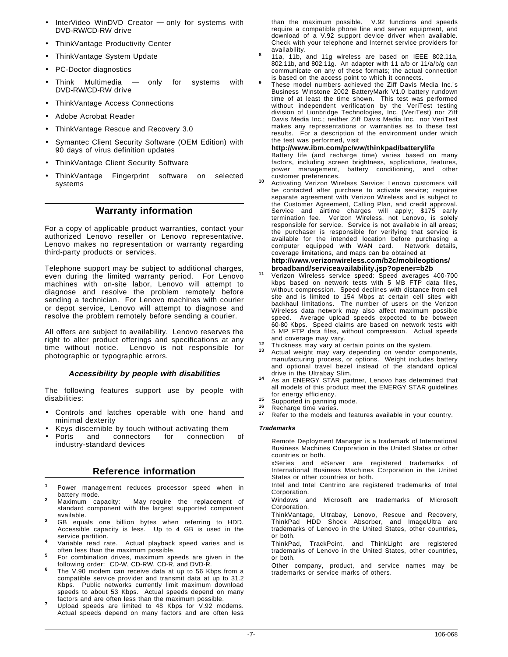- InterVideo WinDVD Creator **—** only for systems with DVD-RW/CD-RW drive
- ThinkVantage Productivity Center
- ThinkVantage System Update
- PC-Doctor diagnostics
- Think Multimedia **—** only for systems with DVD-RW/CD-RW drive
- ThinkVantage Access Connections
- Adobe Acrobat Reader
- ThinkVantage Rescue and Recovery 3.0
- Symantec Client Security Software (OEM Edition) with 90 days of virus definition updates
- ThinkVantage Client Security Software
- ThinkVantage Fingerprint software on selected systems

# **Warranty information**

For a copy of applicable product warranties, contact your authorized Lenovo reseller or Lenovo representative. Lenovo makes no representation or warranty regarding third-party products or services.

Telephone support may be subject to additional charges, even during the limited warranty period. For Lenovo machines with on-site labor, Lenovo will attempt to diagnose and resolve the problem remotely before sending a technician. For Lenovo machines with courier or depot service, Lenovo will attempt to diagnose and resolve the problem remotely before sending a courier.

All offers are subject to availability. Lenovo reserves the right to alter product offerings and specifications at any time without notice. Lenovo is not responsible for photographic or typographic errors.

#### **Accessibility by people with disabilities**

The following features support use by people with disabilities:

- Controls and latches operable with one hand and minimal dexterity
- Keys discernible by touch without activating them
- Ports and connectors for connection of industry-standard devices

# **Reference information**

- Power management reduces processor speed when in battery mode.
- <sup>2</sup> Maximum capacity: May require the replacement of standard component with the largest supported component
- available. **<sup>3</sup>** GB equals one billion bytes when referring to HDD. Accessible capacity is less. Up to 4 GB is used in the
- service partition.<br>Variable read rate. Actual playback speed varies and is<br>often less than the maximum possible.
- <sup>5</sup> For combination drives, maximum speeds are given in the following order: CD-W, CD-RW, CD-R, and DVD-R.
- The V.90 modem can receive data at up to 56 Kbps from a compatible service provider and transmit data at up to 31.2 Kbps. Public networks currently limit maximum download speeds to about 53 Kbps. Actual speeds depend on many
- factors and are often less than the maximum possible. **<sup>7</sup>** Upload speeds are limited to 48 Kbps for V.92 modems. Actual speeds depend on many factors and are often less

than the maximum possible. V.92 functions and speeds require a compatible phone line and server equipment, and download of a V.92 support device driver when available. Check with your telephone and Internet service providers for

- 11a, 11b, and 11g wireless are based on IEEE 802.11a, 802.11b, and 802.11g. An adapter with 11 a/b or 11/a/b/g can communicate on any of these formats; the actual connection<br>is based on the access point to which it connects.
- These model numbers achieved the Ziff Davis Media Inc.'s Business Winstone 2002 BatteryMark V1.0 battery rundown time of at least the time shown. This test was performed without independent verification by the VeriTest testing division of Lionbridge Technologies, Inc. (VeriTest) nor Ziff Davis Media Inc.; neither Ziff Davis Media Inc. nor VeriTest makes any representations or warranties as to these test results. For a description of the environment under which the test was performed, visit

#### **http://www.ibm.com/pc/ww/thinkpad/batterylife**

Battery life (and recharge time) varies based on many factors, including screen brightness, applications, features, power management, battery conditioning, and other

customer preferences. **<sup>10</sup>** Activating Verizon Wireless Service: Lenovo customers will be contacted after purchase to activate service; requires separate agreement with Verizon Wireless and is subject to the Customer Agreement, Calling Plan, and credit approval. Service and airtime charges will apply; \$175 early termination fee. Verizon Wireless, not Lenovo, is solely responsible for service. Service is not available in all areas; the purchaser is responsible for verifying that service is available for the intended location before purchasing a computer equipped with WAN card. coverage limitations, and maps can be obtained at

# **http://www.verizonwireless.com/b2c/mobileoptions/ broadband/serviceavailability.jsp?opener=b2b <sup>11</sup>** Verizon Wireless service speed: Speed averages 400-700

- kbps based on network tests with 5 MB FTP data files, without compression. Speed declines with distance from cell site and is limited to 154 Mbps at certain cell sites with backhaul limitations. The number of users on the Verizon Wireless data network may also affect maximum possible speed. Average upload speeds expected to be between 60-80 Kbps. Speed claims are based on network tests with 5 MP FTP data files, without compression. Actual speeds
- 
- and coverage may vary. **<sup>12</sup>** Thickness may vary at certain points on the system. **<sup>13</sup>** Actual weight may vary depending on vendor components, manufacturing process, or options. Weight includes battery and optional travel bezel instead of the standard optical drive in the Ultrabay Slim. **<sup>14</sup>** As an ENERGY STAR partner, Lenovo has determined that
- all models of this product meet the ENERGY STAR guidelines for energy efficiency.<br> **15** Supported in panning mode.<br> **16** Recharge time varies.<br> **17** Refer to the models and features available in your country.
- 
- 
- 

#### **Trademarks**

Remote Deployment Manager is a trademark of International Business Machines Corporation in the United States or other countries or both.

xSeries and eServer are registered trademarks of International Business Machines Corporation in the United States or other countries or both.

Intel and Intel Centrino are registered trademarks of Intel Corporation.

Windows and Microsoft are trademarks of Microsoft Corporation.

ThinkVantage, Ultrabay, Lenovo, Rescue and Recovery, ThinkPad HDD Shock Absorber, and ImageUltra are trademarks of Lenovo in the United States, other countries, or both.

ThinkPad, TrackPoint, and ThinkLight are registered trademarks of Lenovo in the United States, other countries, or both.

Other company, product, and service names may be trademarks or service marks of others.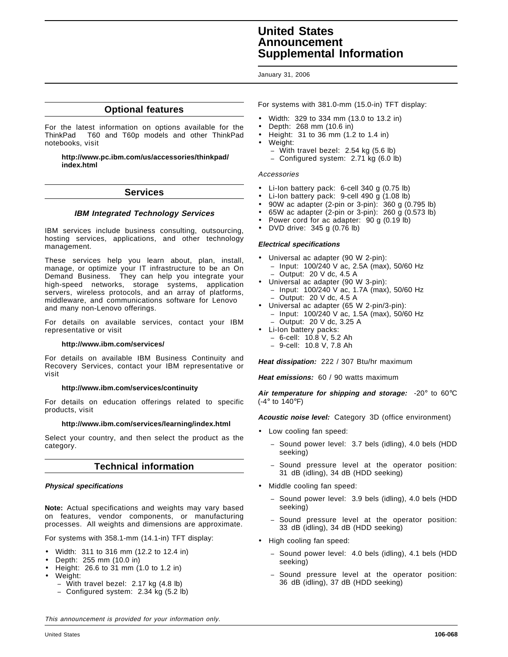# **United States Announcement Supplemental Information**

#### January 31, 2006

# **Optional features**

For the latest information on options available for the ThinkPad® T60 and T60p models and other ThinkPad notebooks, visit

#### **http://www.pc.ibm.com/us/accessories/thinkpad/ index.html**

# **Services**

# **IBM Integrated Technology Services**

IBM services include business consulting, outsourcing, hosting services, applications, and other technology management.

These services help you learn about, plan, install, manage, or optimize your IT infrastructure to be an On Demand Business. They can help you integrate your high-speed networks, storage systems, application servers, wireless protocols, and an array of platforms, middleware, and communications software for Lenovo and many non-Lenovo offerings.

For details on available services, contact your IBM representative or visit

#### **http://www.ibm.com/services/**

For details on available IBM Business Continuity and Recovery Services, contact your IBM representative or visit

#### **http://www.ibm.com/services/continuity**

For details on education offerings related to specific products, visit

#### **http://www.ibm.com/services/learning/index.html**

Select your country, and then select the product as the category.

# **Technical information**

#### **Physical specifications**

**Note:** Actual specifications and weights may vary based on features, vendor components, or manufacturing processes. All weights and dimensions are approximate.

For systems with 358.1-mm (14.1-in) TFT display:

- Width: 311 to 316 mm (12.2 to 12.4 in)
- Depth: 255 mm (10.0 in)
- Height: 26.6 to 31 mm (1.0 to 1.2 in)
- Weight:
	- − With travel bezel: 2.17 kg (4.8 lb)
	- − Configured system: 2.34 kg (5.2 lb)

For systems with 381.0-mm (15.0-in) TFT display:

- Width: 329 to 334 mm (13.0 to 13.2 in)
- Depth: 268 mm (10.6 in)
- Height: 31 to 36 mm (1.2 to 1.4 in)
- Weight:
	- − With travel bezel: 2.54 kg (5.6 lb)
	- − Configured system: 2.71 kg (6.0 lb)

#### Accessories

- Li-Ion battery pack: 6-cell 340 g (0.75 lb)
- Li-Ion battery pack: 9-cell 490 g (1.08 lb)
- 90W ac adapter (2-pin or 3-pin): 360 g (0.795 lb)
- 65W ac adapter (2-pin or 3-pin): 260 g (0.573 lb)
- Power cord for ac adapter: 90 g (0.19 lb)
- DVD drive: 345 g (0.76 lb)

#### **Electrical specifications**

- Universal ac adapter (90 W 2-pin): − Input: 100/240 V ac, 2.5A (max), 50/60 Hz − Output: 20 V dc, 4.5 A
- Universal ac adapter (90 W 3-pin):
	- − Input: 100/240 V ac, 1.7A (max), 50/60 Hz
- − Output: 20 V dc, 4.5 A
- Universal ac adapter (65 W 2-pin/3-pin): − Input: 100/240 V ac, 1.5A (max), 50/60 Hz − Output: 20 V dc, 3.25 A
- Li-Ion battery packs:
	- − 6-cell: 10.8 V, 5.2 Ah
	- − 9-cell: 10.8 V, 7.8 Ah

**Heat dissipation:** 222 / 307 Btu/hr maximum

**Heat emissions:** 60 / 90 watts maximum

**Air temperature for shipping and storage:** -20° to 60°C (-4° to 140°F)

**Acoustic noise level:** Category 3D (office environment)

- Low cooling fan speed:
	- − Sound power level: 3.7 bels (idling), 4.0 bels (HDD seeking)
	- Sound pressure level at the operator position: 31 dB (idling), 34 dB (HDD seeking)
- Middle cooling fan speed:
	- − Sound power level: 3.9 bels (idling), 4.0 bels (HDD seeking)
	- Sound pressure level at the operator position: 33 dB (idling), 34 dB (HDD seeking)
- High cooling fan speed:
	- − Sound power level: 4.0 bels (idling), 4.1 bels (HDD seeking)
	- Sound pressure level at the operator position: 36 dB (idling), 37 dB (HDD seeking)

This announcement is provided for your information only.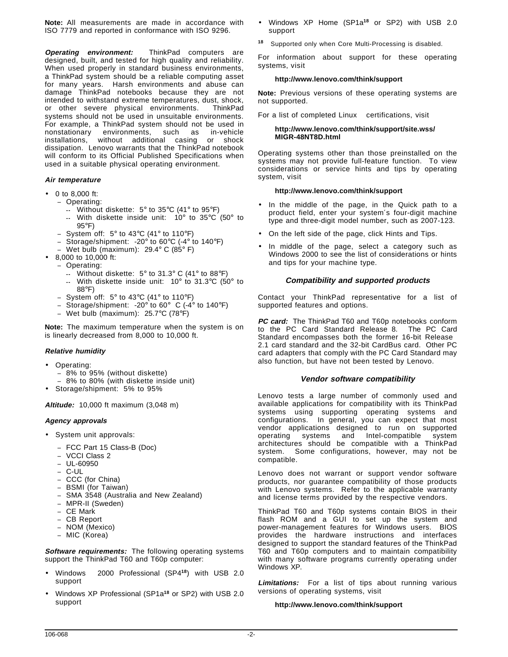**Note:** All measurements are made in accordance with ISO 7779 and reported in conformance with ISO 9296.

**Operating environment:** ThinkPad computers are designed, built, and tested for high quality and reliability. When used properly in standard business environments, a ThinkPad system should be a reliable computing asset for many years. Harsh environments and abuse can damage ThinkPad notebooks because they are not intended to withstand extreme temperatures, dust, shock, or other severe physical environments. ThinkPad systems should not be used in unsuitable environments. For example, a ThinkPad system should not be used in nonstationary environments, such as in-vehicle installations, without additional casing or shock dissipation. Lenovo warrants that the ThinkPad notebook will conform to its Official Published Specifications when used in a suitable physical operating environment.

#### **Air temperature**

- 0 to 8,000 ft:
	- − Operating:
		- **--** Without diskette: 5° to 35°C (41° to 95°F) **--** With diskette inside unit: 10° to 35°C (50° to 95°F)
	- − System off: 5° to 43°C (41° to 110°F)
	- − Storage/shipment: -20° to 60°C (-4° to 140°F)
	- − Wet bulb (maximum): 29.4° C (85° F)
- 8,000 to 10,000 ft:
- − Operating:
	- **--** Without diskette: 5° to 31.3° C (41° to 88°F)
		- **--** With diskette inside unit: 10° to 31.3°C (50° to 88°F)
- − System off: 5° to 43°C (41° to 110°F)
- Storage/shipment: -20 $^{\circ}$  to 60 $^{\circ}$  C (-4 $^{\circ}$  to 140 $^{\circ}$ F)
- − Wet bulb (maximum): 25.7°C (78°F)

**Note:** The maximum temperature when the system is on is linearly decreased from 8,000 to 10,000 ft.

#### **Relative humidity**

- Operating:
	- − 8% to 95% (without diskette)
	- − 8% to 80% (with diskette inside unit)
- Storage/shipment: 5% to 95%

#### **Altitude:** 10,000 ft maximum (3,048 m)

#### **Agency approvals**

- System unit approvals:
	- − FCC Part 15 Class-B (Doc)
	- − VCCI Class 2
	- − UL-60950
	- − C-UL
	- − CCC (for China)
	- − BSMI (for Taiwan)
	- − SMA 3548 (Australia and New Zealand)
	- − MPR-II (Sweden)
	- CE Mark
	- − CB Report
	- − NOM (Mexico)
	- − MIC (Korea)

**Software requirements:** The following operating systems support the ThinkPad T60 and T60p computer:

- Windows 2000 Professional (SP4**<sup>18</sup>**) with USB 2.0 support
- Windows XP Professional (SP1a**<sup>18</sup>** or SP2) with USB 2.0 support
- Windows XP Home (SP1a**<sup>18</sup>** or SP2) with USB 2.0 support
- **<sup>18</sup>** Supported only when Core Multi-Processing is disabled.

For information about support for these operating systems, visit

#### **http://www.lenovo.com/think/support**

**Note:** Previous versions of these operating systems are not supported.

For a list of completed Linux<sup>™</sup> certifications, visit

#### **http://www.lenovo.com/think/support/site.wss/ MIGR-48NT8D.html**

Operating systems other than those preinstalled on the systems may not provide full-feature function. To view considerations or service hints and tips by operating system, visit

#### **http://www.lenovo.com/think/support**

- In the middle of the page, in the Quick path to a product field, enter your system′s four-digit machine type and three-digit model number, such as 2007-123.
- On the left side of the page, click Hints and Tips.
- In middle of the page, select a category such as Windows 2000 to see the list of considerations or hints and tips for your machine type.

#### **Compatibility and supported products**

Contact your ThinkPad representative for a list of supported features and options.

**PC card:** The ThinkPad T60 and T60p notebooks conform to the PC Card Standard Release 8. The PC Card Standard encompasses both the former 16-bit Release 2.1 card standard and the 32-bit CardBus card. Other PC card adapters that comply with the PC Card Standard may also function, but have not been tested by Lenovo.

#### **Vendor software compatibility**

Lenovo tests a large number of commonly used and available applications for compatibility with its ThinkPad systems using supporting operating systems and configurations. In general, you can expect that most vendor applications designed to run on supported operating systems and Intel-compatible system architectures should be compatible with a ThinkPad system. Some configurations, however, may not be compatible.

Lenovo does not warrant or support vendor software products, nor guarantee compatibility of those products with Lenovo systems. Refer to the applicable warranty and license terms provided by the respective vendors.

ThinkPad T60 and T60p systems contain BIOS in their flash ROM and a GUI to set up the system and power-management features for Windows users. BIOS provides the hardware instructions and interfaces designed to support the standard features of the ThinkPad T60 and T60p computers and to maintain compatibility with many software programs currently operating under Windows XP.

**Limitations:** For a list of tips about running various versions of operating systems, visit

#### **http://www.lenovo.com/think/support**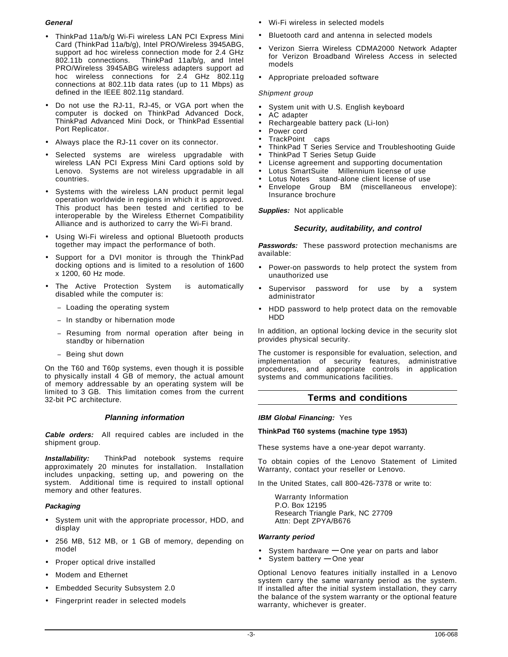# **General**

- ThinkPad 11a/b/g Wi-Fi wireless LAN PCI Express Mini Card (ThinkPad 11a/b/g), Intel PRO/Wireless 3945ABG, support ad hoc wireless connection mode for 2.4 GHz 802.11b connections. ThinkPad 11a/b/g, and Intel PRO/Wireless 3945ABG wireless adapters support ad hoc wireless connections for 2.4 GHz 802.11g connections at 802.11b data rates (up to 11 Mbps) as defined in the IEEE 802.11g standard.
- Do not use the RJ-11, RJ-45, or VGA port when the computer is docked on ThinkPad Advanced Dock, ThinkPad Advanced Mini Dock, or ThinkPad Essential Port Replicator.
- Always place the RJ-11 cover on its connector.
- Selected systems are wireless upgradable with wireless LAN PCI Express Mini Card options sold by Lenovo. Systems are not wireless upgradable in all countries.
- Systems with the wireless LAN product permit legal operation worldwide in regions in which it is approved. This product has been tested and certified to be interoperable by the Wireless Ethernet Compatibility Alliance and is authorized to carry the Wi-Fi brand.
- Using Wi-Fi wireless and optional Bluetooth products together may impact the performance of both.
- Support for a DVI monitor is through the ThinkPad docking options and is limited to a resolution of 1600 x 1200, 60 Hz mode.
- The Active Protection System<sup>™</sup> is automatically disabled while the computer is:
	- − Loading the operating system
	- − In standby or hibernation mode
	- Resuming from normal operation after being in standby or hibernation
	- − Being shut down

On the T60 and T60p systems, even though it is possible to physically install 4 GB of memory, the actual amount of memory addressable by an operating system will be limited to 3 GB. This limitation comes from the current 32-bit PC architecture.

# **Planning information**

**Cable orders:** All required cables are included in the shipment group.

**Installability:** ThinkPad notebook systems require approximately 20 minutes for installation. Installation includes unpacking, setting up, and powering on the system. Additional time is required to install optional memory and other features.

# **Packaging**

- System unit with the appropriate processor, HDD, and display
- 256 MB, 512 MB, or 1 GB of memory, depending on model
- Proper optical drive installed
- Modem and Ethernet
- Embedded Security Subsystem 2.0
- Fingerprint reader in selected models
- Wi-Fi wireless in selected models
- Bluetooth card and antenna in selected models
- Verizon Sierra Wireless CDMA2000 Network Adapter for Verizon Broadband Wireless Access in selected models
- Appropriate preloaded software

# Shipment group

- System unit with U.S. English keyboard
- AC adapter
- Rechargeable battery pack (Li-Ion)
- Power cord
- TrackPoint<sup>®</sup> caps
- ThinkPad T Series Service and Troubleshooting Guide
- ThinkPad T Series Setup Guide
- License agreement and supporting documentation
- Lotus SmartSuite<sup>®</sup> Millennium license of use
- Lotus Notes<sup>®</sup> stand-alone client license of use
- Envelope Group BM (miscellaneous envelope): Insurance brochure

**Supplies:** Not applicable

# **Security, auditability, and control**

**Passwords:** These password protection mechanisms are available:

- Power-on passwords to help protect the system from unauthorized use
- Supervisor password for use by a system administrator
- HDD password to help protect data on the removable HDD

In addition, an optional locking device in the security slot provides physical security.

The customer is responsible for evaluation, selection, and implementation of security features, administrative procedures, and appropriate controls in application systems and communications facilities.

# **Terms and conditions**

# **IBM Global Financing:** Yes

# **ThinkPad T60 systems (machine type 1953)**

These systems have a one-year depot warranty.

To obtain copies of the Lenovo Statement of Limited Warranty, contact your reseller or Lenovo.

In the United States, call 800-426-7378 or write to:

Warranty Information P.O. Box 12195 Research Triangle Park, NC 27709 Attn: Dept ZPYA/B676

#### **Warranty period**

- System hardware **—** One year on parts and labor
- System battery **—** One year

Optional Lenovo features initially installed in a Lenovo system carry the same warranty period as the system. If installed after the initial system installation, they carry the balance of the system warranty or the optional feature warranty, whichever is greater.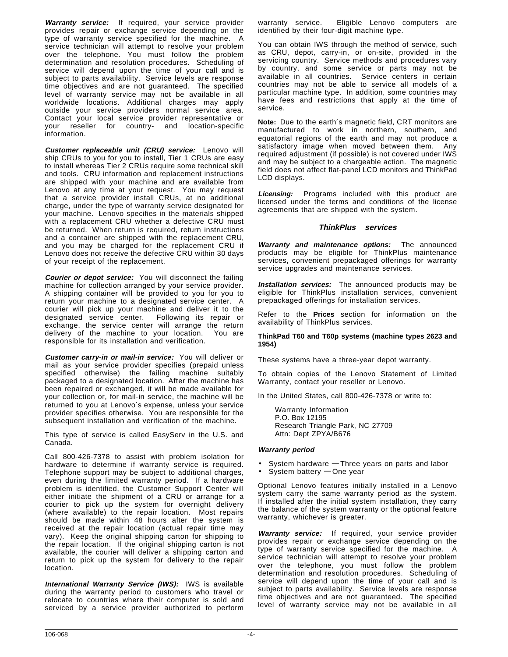**Warranty service:** If required, your service provider provides repair or exchange service depending on the type of warranty service specified for the machine. A service technician will attempt to resolve your problem over the telephone. You must follow the problem determination and resolution procedures. Scheduling of service will depend upon the time of your call and is subject to parts availability. Service levels are response time objectives and are not guaranteed. The specified level of warranty service may not be available in all worldwide locations. Additional charges may apply outside your service providers normal service area. Contact your local service provider representative or your reseller for country- and location-specific information.

**Customer replaceable unit (CRU) service:** Lenovo will ship CRUs to you for you to install, Tier 1 CRUs are easy to install whereas Tier 2 CRUs require some technical skill and tools. CRU information and replacement instructions are shipped with your machine and are available from Lenovo at any time at your request. You may request that a service provider install CRUs, at no additional charge, under the type of warranty service designated for your machine. Lenovo specifies in the materials shipped with a replacement CRU whether a defective CRU must be returned. When return is required, return instructions and a container are shipped with the replacement CRU, and you may be charged for the replacement CRU if Lenovo does not receive the defective CRU within 30 days of your receipt of the replacement.

**Courier or depot service:** You will disconnect the failing machine for collection arranged by your service provider. A shipping container will be provided to you for you to return your machine to a designated service center. A courier will pick up your machine and deliver it to the designated service center. Following its repair or exchange, the service center will arrange the return delivery of the machine to your location. You are responsible for its installation and verification.

**Customer carry-in or mail-in service:** You will deliver or mail as your service provider specifies (prepaid unless specified otherwise) the failing machine suitably packaged to a designated location. After the machine has been repaired or exchanged, it will be made available for your collection or, for mail-in service, the machine will be returned to you at Lenovo′s expense, unless your service provider specifies otherwise. You are responsible for the subsequent installation and verification of the machine.

This type of service is called EasyServ in the U.S. and Canada.

Call 800-426-7378 to assist with problem isolation for hardware to determine if warranty service is required. Telephone support may be subject to additional charges, even during the limited warranty period. If a hardware problem is identified, the Customer Support Center will either initiate the shipment of a CRU or arrange for a courier to pick up the system for overnight delivery (where available) to the repair location. Most repairs should be made within 48 hours after the system is received at the repair location (actual repair time may vary). Keep the original shipping carton for shipping to the repair location. If the original shipping carton is not available, the courier will deliver a shipping carton and return to pick up the system for delivery to the repair location.

**International Warranty Service (IWS):** IWS is available during the warranty period to customers who travel or relocate to countries where their computer is sold and serviced by a service provider authorized to perform

warranty service. Eligible Lenovo computers are identified by their four-digit machine type.

You can obtain IWS through the method of service, such as CRU, depot, carry-in, or on-site, provided in the servicing country. Service methods and procedures vary by country, and some service or parts may not be available in all countries. Service centers in certain countries may not be able to service all models of a particular machine type. In addition, some countries may have fees and restrictions that apply at the time of service.

**Note:** Due to the earth′s magnetic field, CRT monitors are manufactured to work in northern, southern, and equatorial regions of the earth and may not produce a satisfactory image when moved between them. Any required adjustment (if possible) is not covered under IWS and may be subject to a chargeable action. The magnetic field does not affect flat-panel LCD monitors and ThinkPad LCD displays.

**Licensing:** Programs included with this product are licensed under the terms and conditions of the license agreements that are shipped with the system.

#### **ThinkPlus services**

**Warranty and maintenance options:** The announced products may be eligible for ThinkPlus maintenance services, convenient prepackaged offerings for warranty service upgrades and maintenance services.

**Installation services:** The announced products may be eligible for ThinkPlus installation services, convenient prepackaged offerings for installation services.

Refer to the **Prices** section for information on the availability of ThinkPlus services.

#### **ThinkPad T60 and T60p systems (machine types 2623 and 1954)**

These systems have a three-year depot warranty.

To obtain copies of the Lenovo Statement of Limited Warranty, contact your reseller or Lenovo.

In the United States, call 800-426-7378 or write to:

Warranty Information P.O. Box 12195 Research Triangle Park, NC 27709 Attn: Dept ZPYA/B676

#### **Warranty period**

- System hardware **—** Three years on parts and labor
- System battery **—** One year

Optional Lenovo features initially installed in a Lenovo system carry the same warranty period as the system. If installed after the initial system installation, they carry the balance of the system warranty or the optional feature warranty, whichever is greater.

**Warranty service:** If required, your service provider provides repair or exchange service depending on the type of warranty service specified for the machine. A service technician will attempt to resolve your problem over the telephone, you must follow the problem determination and resolution procedures. Scheduling of service will depend upon the time of your call and is subject to parts availability. Service levels are response time objectives and are not guaranteed. The specified level of warranty service may not be available in all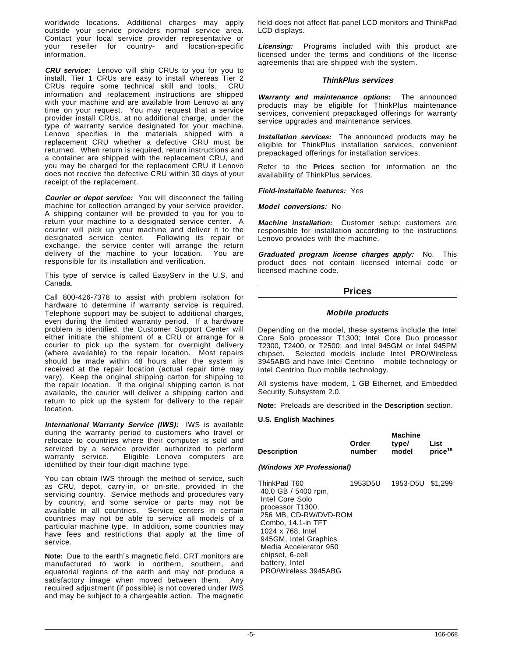worldwide locations. Additional charges may apply outside your service providers normal service area. Contact your local service provider representative or your reseller for country- and location-specific information.

**CRU service:** Lenovo will ship CRUs to you for you to install. Tier 1 CRUs are easy to install whereas Tier 2 CRUs require some technical skill and tools. CRU information and replacement instructions are shipped with your machine and are available from Lenovo at any time on your request. You may request that a service provider install CRUs, at no additional charge, under the type of warranty service designated for your machine. Lenovo specifies in the materials shipped with a replacement CRU whether a defective CRU must be returned. When return is required, return instructions and a container are shipped with the replacement CRU, and you may be charged for the replacement CRU if Lenovo does not receive the defective CRU within 30 days of your receipt of the replacement.

**Courier or depot service:** You will disconnect the failing machine for collection arranged by your service provider. A shipping container will be provided to you for you to return your machine to a designated service center. A courier will pick up your machine and deliver it to the designated service center. Following its repair or exchange, the service center will arrange the return delivery of the machine to your location. You are responsible for its installation and verification.

This type of service is called EasyServ in the U.S. and Canada.

Call 800-426-7378 to assist with problem isolation for hardware to determine if warranty service is required. Telephone support may be subject to additional charges, even during the limited warranty period. If a hardware problem is identified, the Customer Support Center will either initiate the shipment of a CRU or arrange for a courier to pick up the system for overnight delivery (where available) to the repair location. Most repairs should be made within 48 hours after the system is received at the repair location (actual repair time may vary). Keep the original shipping carton for shipping to the repair location. If the original shipping carton is not available, the courier will deliver a shipping carton and return to pick up the system for delivery to the repair location.

**International Warranty Service (IWS):** IWS is available during the warranty period to customers who travel or relocate to countries where their computer is sold and serviced by a service provider authorized to perform warranty service. Eligible Lenovo computers are identified by their four-digit machine type.

You can obtain IWS through the method of service, such as CRU, depot, carry-in, or on-site, provided in the servicing country. Service methods and procedures vary by country, and some service or parts may not be available in all countries. Service centers in certain countries may not be able to service all models of a particular machine type. In addition, some countries may have fees and restrictions that apply at the time of service.

**Note:** Due to the earth′s magnetic field, CRT monitors are manufactured to work in northern, southern, and equatorial regions of the earth and may not produce a satisfactory image when moved between them. Any required adjustment (if possible) is not covered under IWS and may be subject to a chargeable action. The magnetic field does not affect flat-panel LCD monitors and ThinkPad LCD displays.

**Licensing:** Programs included with this product are licensed under the terms and conditions of the license agreements that are shipped with the system.

#### **ThinkPlus services**

**Warranty and maintenance options:** The announced products may be eligible for ThinkPlus maintenance services, convenient prepackaged offerings for warranty service upgrades and maintenance services.

**Installation services:** The announced products may be eligible for ThinkPlus installation services, convenient prepackaged offerings for installation services.

Refer to the **Prices** section for information on the availability of ThinkPlus services.

**Field-installable features:** Yes

**Model conversions:** No

**Machine installation:** Customer setup: customers are responsible for installation according to the instructions Lenovo provides with the machine.

**Graduated program license charges apply:** No. This product does not contain licensed internal code or licensed machine code.

# **Prices**

#### **Mobile products**

Depending on the model, these systems include the Intel Core Solo processor T1300; Intel Core Duo processor T2300, T2400, or T2500; and Intel 945GM or Intel 945PM chipset. Selected models include Intel PRO/Wireless 3945ABG and have Intel Centrino<sup>®</sup> mobile technology or Intel Centrino Duo mobile technology.

All systems have modem, 1 GB Ethernet, and Embedded Security Subsystem 2.0.

**Note:** Preloads are described in the **Description** section.

#### **U.S. English Machines**

| Description | Order<br>number | <b>Machine</b><br>type/<br>model | List<br>price <sup>19</sup> |
|-------------|-----------------|----------------------------------|-----------------------------|
|             |                 |                                  |                             |

# **(Windows XP Professional)**

| ThinkPad T60          | 1953D5U | 1953-D5U \$1.299 |  |
|-----------------------|---------|------------------|--|
| 40.0 GB / 5400 rpm,   |         |                  |  |
| Intel Core Solo       |         |                  |  |
| processor T1300.      |         |                  |  |
| 256 MB, CD-RW/DVD-ROM |         |                  |  |
| Combo, 14.1-in TFT    |         |                  |  |
| 1024 x 768, Intel     |         |                  |  |
| 945GM, Intel Graphics |         |                  |  |
| Media Accelerator 950 |         |                  |  |
| chipset, 6-cell       |         |                  |  |
| battery, Intel        |         |                  |  |
| PRO/Wireless 3945ABG  |         |                  |  |
|                       |         |                  |  |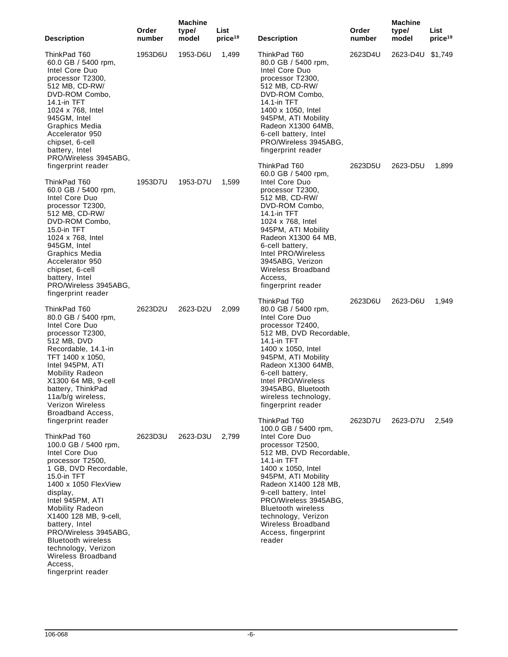| <b>Description</b>                                                                                                                                                                                                                                                                                                                                                                                        | Order<br>number | <b>Machine</b><br>type/<br>model | List<br>price <sup>19</sup> | <b>Description</b>                                                                                                                                                                                                                                                                                                                                            | Order<br>number | <b>Machine</b><br>type/<br>model | List<br>price <sup>19</sup> |
|-----------------------------------------------------------------------------------------------------------------------------------------------------------------------------------------------------------------------------------------------------------------------------------------------------------------------------------------------------------------------------------------------------------|-----------------|----------------------------------|-----------------------------|---------------------------------------------------------------------------------------------------------------------------------------------------------------------------------------------------------------------------------------------------------------------------------------------------------------------------------------------------------------|-----------------|----------------------------------|-----------------------------|
| ThinkPad T60<br>60.0 GB $/$ 5400 rpm,<br>Intel Core Duo<br>processor T2300,<br>512 MB, CD-RW/<br>DVD-ROM Combo,<br>14.1-in TFT<br>1024 x 768, Intel<br>945GM, Intel<br>Graphics Media<br>Accelerator 950<br>chipset, 6-cell<br>battery, Intel<br>PRO/Wireless 3945ABG,                                                                                                                                    | 1953D6U         | 1953-D6U                         | 1,499                       | ThinkPad T60<br>80.0 GB / 5400 rpm,<br>Intel Core Duo<br>processor T2300,<br>512 MB, CD-RW/<br>DVD-ROM Combo,<br>14.1-in TFT<br>1400 x 1050, Intel<br>945PM, ATI Mobility<br>Radeon X1300 64MB,<br>6-cell battery, Intel<br>PRO/Wireless 3945ABG,<br>fingerprint reader                                                                                       | 2623D4U         | 2623-D4U \$1,749                 |                             |
| fingerprint reader<br>ThinkPad T60<br>60.0 GB $/$ 5400 rpm,<br>Intel Core Duo<br>processor T2300,<br>512 MB, CD-RW/<br>DVD-ROM Combo,<br>15.0-in TFT<br>1024 x 768, Intel<br>945GM, Intel<br>Graphics Media<br>Accelerator 950<br>chipset, 6-cell<br>battery, Intel<br>PRO/Wireless 3945ABG,<br>fingerprint reader                                                                                        | 1953D7U         | 1953-D7U                         | 1,599                       | ThinkPad T60<br>60.0 GB $/$ 5400 rpm,<br>Intel Core Duo<br>processor T2300,<br>512 MB, CD-RW/<br>DVD-ROM Combo,<br>14.1-in TFT<br>1024 x 768, Intel<br>945PM, ATI Mobility<br>Radeon X1300 64 MB,<br>6-cell battery,<br>Intel PRO/Wireless<br>3945ABG, Verizon<br><b>Wireless Broadband</b><br>Access,<br>fingerprint reader                                  | 2623D5U         | 2623-D5U                         | 1,899                       |
| ThinkPad T60<br>80.0 GB / 5400 rpm,<br>Intel Core Duo<br>processor T2300,<br>512 MB, DVD<br>Recordable, 14.1-in<br>TFT 1400 x 1050,<br>Intel 945PM, ATI<br><b>Mobility Radeon</b><br>X1300 64 MB, 9-cell<br>battery, ThinkPad<br>11a/b/g wireless,<br><b>Verizon Wireless</b><br>Broadband Access,                                                                                                        | 2623D2U         | 2623-D2U                         | 2,099                       | ThinkPad T60<br>80.0 GB / 5400 rpm,<br>Intel Core Duo<br>processor T2400,<br>512 MB, DVD Recordable,<br>14.1-in TFT<br>1400 x 1050, Intel<br>945PM, ATI Mobility<br>Radeon X1300 64MB,<br>6-cell battery,<br>Intel PRO/Wireless<br>3945ABG, Bluetooth<br>wireless technology,<br>fingerprint reader                                                           | 2623D6U         | 2623-D6U                         | 1,949                       |
| fingerprint reader<br>ThinkPad T60<br>100.0 GB / 5400 rpm,<br>Intel Core Duo<br>processor T2500,<br>1 GB, DVD Recordable,<br>15.0-in TFT<br>1400 x 1050 FlexView<br>display,<br>Intel 945PM, ATI<br><b>Mobility Radeon</b><br>X1400 128 MB, 9-cell,<br>battery, Intel<br>PRO/Wireless 3945ABG,<br><b>Bluetooth wireless</b><br>technology, Verizon<br>Wireless Broadband<br>Access,<br>fingerprint reader | 2623D3U         | 2623-D3U                         | 2,799                       | ThinkPad T60<br>100.0 GB / 5400 rpm,<br>Intel Core Duo<br>processor T2500,<br>512 MB, DVD Recordable,<br>14.1-in TFT<br>1400 x 1050, Intel<br>945PM, ATI Mobility<br>Radeon X1400 128 MB,<br>9-cell battery, Intel<br>PRO/Wireless 3945ABG,<br><b>Bluetooth wireless</b><br>technology, Verizon<br><b>Wireless Broadband</b><br>Access, fingerprint<br>reader | 2623D7U         | 2623-D7U                         | 2,549                       |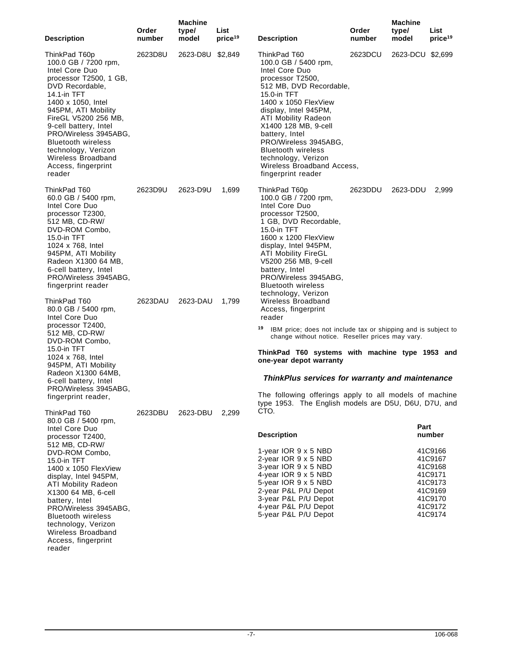| <b>Description</b>                                                                                                                                                                                                                                                                                                                                    | Order<br>number | <b>Machine</b><br>type/<br>model | List<br>price <sup>19</sup> | <b>Description</b>                                                                                                                                                                                                                                                                                                                                                               | Order<br>number | <b>Machine</b><br>type/<br>model | List<br>price <sup>19</sup>                                                                     |
|-------------------------------------------------------------------------------------------------------------------------------------------------------------------------------------------------------------------------------------------------------------------------------------------------------------------------------------------------------|-----------------|----------------------------------|-----------------------------|----------------------------------------------------------------------------------------------------------------------------------------------------------------------------------------------------------------------------------------------------------------------------------------------------------------------------------------------------------------------------------|-----------------|----------------------------------|-------------------------------------------------------------------------------------------------|
| ThinkPad T60p<br>100.0 GB / 7200 rpm,<br>Intel Core Duo<br>processor T2500, 1 GB,<br>DVD Recordable,<br>14.1-in TFT<br>1400 x 1050, Intel<br>945PM, ATI Mobility<br>FireGL V5200 256 MB,<br>9-cell battery, Intel<br>PRO/Wireless 3945ABG,<br><b>Bluetooth wireless</b><br>technology, Verizon<br>Wireless Broadband<br>Access, fingerprint<br>reader | 2623D8U         | 2623-D8U \$2,849                 |                             | ThinkPad T60<br>100.0 GB / 5400 rpm,<br>Intel Core Duo<br>processor T2500,<br>512 MB, DVD Recordable,<br>15.0-in $TFT$<br>1400 x 1050 FlexView<br>display, Intel 945PM,<br><b>ATI Mobility Radeon</b><br>X1400 128 MB, 9-cell<br>battery, Intel<br>PRO/Wireless 3945ABG,<br><b>Bluetooth wireless</b><br>technology, Verizon<br>Wireless Broadband Access,<br>fingerprint reader | 2623DCU         | 2623-DCU \$2,699                 |                                                                                                 |
| ThinkPad T60<br>60.0 GB / 5400 rpm,<br>Intel Core Duo<br>processor T2300,<br>512 MB, CD-RW/<br>DVD-ROM Combo,<br>15.0-in TFT<br>1024 x 768, Intel<br>945PM, ATI Mobility<br>Radeon X1300 64 MB,<br>6-cell battery, Intel<br>PRO/Wireless 3945ABG,<br>fingerprint reader                                                                               | 2623D9U         | 2623-D9U                         | 1,699                       | ThinkPad T60p<br>100.0 GB / 7200 rpm,<br>Intel Core Duo<br>processor T2500,<br>1 GB, DVD Recordable,<br>15.0-in TFT<br>1600 x 1200 FlexView<br>display, Intel 945PM,<br><b>ATI Mobility FireGL</b><br>V5200 256 MB, 9-cell<br>battery, Intel<br>PRO/Wireless 3945ABG,<br><b>Bluetooth wireless</b><br>technology, Verizon                                                        | 2623DDU         | 2623-DDU                         | 2,999                                                                                           |
| ThinkPad T60<br>80.0 GB / 5400 rpm,<br>Intel Core Duo<br>processor T2400,<br>512 MB, CD-RW/<br>DVD-ROM Combo,<br>15.0-in TFT<br>1024 x 768, Intel<br>945PM, ATI Mobility<br>Radeon X1300 64MB,<br>6-cell battery, Intel<br>PRO/Wireless 3945ABG,<br>fingerprint reader,<br>ThinkPad T60                                                               | 2623DAU         | 2623-DAU<br>2623-DBU             | 1,799<br>2,299              | Wireless Broadband<br>Access, fingerprint<br>reader<br>19<br>IBM price; does not include tax or shipping and is subject to<br>change without notice. Reseller prices may vary.                                                                                                                                                                                                   |                 |                                  |                                                                                                 |
|                                                                                                                                                                                                                                                                                                                                                       |                 |                                  |                             | ThinkPad T60 systems with machine type 1953 and<br>one-year depot warranty<br>ThinkPlus services for warranty and maintenance                                                                                                                                                                                                                                                    |                 |                                  |                                                                                                 |
|                                                                                                                                                                                                                                                                                                                                                       | 2623DBU         |                                  |                             | The following offerings apply to all models of machine<br>type 1953. The English models are D5U, D6U, D7U, and<br>CTO.                                                                                                                                                                                                                                                           |                 |                                  |                                                                                                 |
| 80.0 GB / 5400 rpm,<br>Intel Core Duo<br>processor T2400,                                                                                                                                                                                                                                                                                             |                 |                                  |                             | <b>Description</b>                                                                                                                                                                                                                                                                                                                                                               |                 | Part                             | number                                                                                          |
| 512 MB, CD-RW/<br>DVD-ROM Combo,<br>15.0-in TFT<br>1400 x 1050 FlexView<br>display, Intel 945PM,<br><b>ATI Mobility Radeon</b><br>X1300 64 MB, 6-cell<br>battery, Intel<br>PRO/Wireless 3945ABG,<br><b>Bluetooth wireless</b><br>technology, Verizon<br>Wireless Broadband<br>Access, fingerprint<br>reader                                           |                 |                                  |                             | 1-year IOR $9 \times 5$ NBD<br>2-year IOR 9 x 5 NBD<br>3-year IOR 9 x 5 NBD<br>4-year IOR 9 x 5 NBD<br>5-year IOR 9 x 5 NBD<br>2-year P&L P/U Depot<br>3-year P&L P/U Depot<br>4-year P&L P/U Depot<br>5-year P&L P/U Depot                                                                                                                                                      |                 |                                  | 41C9166<br>41C9167<br>41C9168<br>41C9171<br>41C9173<br>41C9169<br>41C9170<br>41C9172<br>41C9174 |